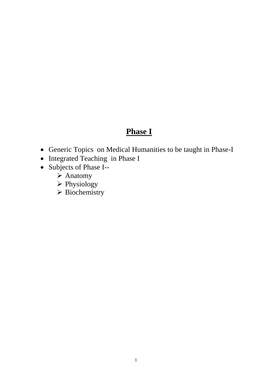# **Phase I**

- Generic Topics on Medical Humanities to be taught in Phase-I
- Integrated Teaching in Phase I
- Subjects of Phase I--
	- ➢ Anatomy
	- ➢ Physiology
	- ➢ Biochemistry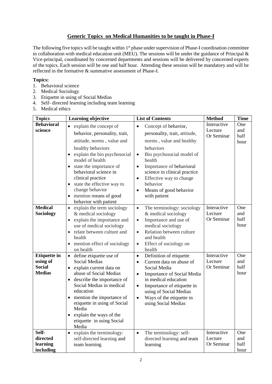## **Generic Topics on Medical Humanities to be taught in Phase-I**

The following five topics will be taught within 1<sup>st</sup> phase under supervision of Phase-I coordination committee in collaboration with medical education unit (MEU). The sessions will be under the guidance of Principal  $\&$ Vice-principal, coordinated by concerned departments and sessions will be delivered by concerned experts of the topics. Each session will be one and half hour. Attending these session will be mandatory and will be reflected in the formative & summative assessment of Phase-I.

## **Topics:**

- 1. Behavioral science
- 2. Medical Sociology
- 3. Etiquette in using of Social Medias
- 4. Self- directed learning including team learning
- 5. Medical ethics

| <b>Topics</b>                                                     | <b>Learning objective</b>                                                                                                                                                                                                                                                                                                                                                           | <b>List of Contents</b>                                                                                                                                                                                                                                                                                                                             | <b>Method</b>                        | <b>Time</b>                |
|-------------------------------------------------------------------|-------------------------------------------------------------------------------------------------------------------------------------------------------------------------------------------------------------------------------------------------------------------------------------------------------------------------------------------------------------------------------------|-----------------------------------------------------------------------------------------------------------------------------------------------------------------------------------------------------------------------------------------------------------------------------------------------------------------------------------------------------|--------------------------------------|----------------------------|
| <b>Behavioral</b><br>science                                      | $\bullet$ explain the concept of<br>behavior, personality, trait,<br>attitude, norms, value and<br>healthy behaviors<br>explain the bio psychosocial<br>$\bullet$<br>model of health<br>state the importance of<br>$\bullet$<br>behavioral science in<br>clinical practice<br>state the effective way to<br>change behavior<br>mention means of good<br>behavior with patient       | Concept of behavior,<br>$\bullet$<br>personality, trait, attitude,<br>norms, value and healthy<br>behaviors<br>Bio psychosocial model of<br>$\bullet$<br>health<br>Importance of behavioral<br>$\bullet$<br>science in clinical practice<br>Effective way to change<br>$\bullet$<br>behavior<br>Means of good behavior<br>$\bullet$<br>with patient | Interactive<br>Lecture<br>Or Seminar | One<br>and<br>half<br>hour |
| <b>Medical</b><br>Sociology                                       | explain the term sociology<br>$\bullet$<br>& medical sociology<br>explain the importance and<br>$\bullet$<br>use of medical sociology<br>relate between culture and<br>health<br>mention effect of sociology<br>$\bullet$<br>on health                                                                                                                                              | The terminology: sociology<br>$\bullet$<br>& medical sociology<br>Importance and use of<br>$\bullet$<br>medical sociology<br>Relation between culture<br>$\bullet$<br>and health<br>Effect of sociology on<br>$\bullet$<br>health                                                                                                                   | Interactive<br>Lecture<br>Or Seminar | One<br>and<br>half<br>hour |
| <b>Etiquette in</b><br>using of<br><b>Social</b><br><b>Medias</b> | define etiquette use of<br>$\bullet$<br><b>Social Medias</b><br>explain current data on<br>$\bullet$<br>abuse of Social Medias<br>describe the importance of<br>$\bullet$<br>Social Medias in medical<br>education<br>mention the importance of<br>$\bullet$<br>etiquette in using of Social<br>Media<br>explain the ways of the<br>$\bullet$<br>etiquette in using Social<br>Media | Definition of etiquette<br>$\bullet$<br>Current data on abuse of<br>$\bullet$<br>Social Media<br>Importance of Social Media<br>$\bullet$<br>in medical education<br>Importance of etiquette in<br>$\bullet$<br>using of Social Medias<br>Ways of the etiquette in<br>$\bullet$<br>using Social Medias                                               | Interactive<br>Lecture<br>Or Seminar | One<br>and<br>half<br>hour |
| Self-<br>directed<br>learning<br>including                        | explain the terminology:<br>$\bullet$<br>self-directed learning and<br>team learning                                                                                                                                                                                                                                                                                                | The terminology: self-<br>$\bullet$<br>directed learning and team<br>learning                                                                                                                                                                                                                                                                       | Interactive<br>Lecture<br>Or Seminar | One<br>and<br>half<br>hour |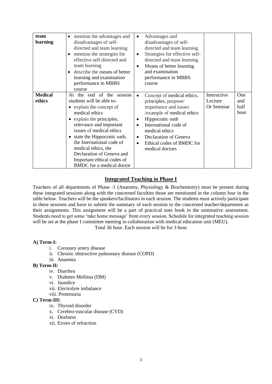| team<br>learning         | mention the advantages and<br>$\bullet$<br>disadvantages of self-<br>directed and team learning<br>mention the strategies for<br>٠<br>effective self-directed and<br>team learning<br>describe the means of better<br>$\bullet$<br>learning and examination<br>performance in MBBS<br>course                                                                                   | Advantages and<br>$\bullet$<br>disadvantages of self-<br>directed and team learning<br>Strategies for effective self-<br>$\bullet$<br>directed and team learning<br>Means of better learning<br>$\bullet$<br>and examination<br>performance in MBBS<br>course                                              |                                      |                            |
|--------------------------|--------------------------------------------------------------------------------------------------------------------------------------------------------------------------------------------------------------------------------------------------------------------------------------------------------------------------------------------------------------------------------|------------------------------------------------------------------------------------------------------------------------------------------------------------------------------------------------------------------------------------------------------------------------------------------------------------|--------------------------------------|----------------------------|
| <b>Medical</b><br>ethics | At the end of the session<br>students will be able to-<br>• explain the concept of<br>medical ethics<br>explain the principles,<br>$\bullet$<br>relevance and important<br>issues of medical ethics<br>state the Hippocratic oath,<br>the International code of<br>medical ethics, the<br>Declaration of Geneva and<br>Important ethical codes of<br>BMDC for a medical doctor | Concept of medical ethics,<br>$\bullet$<br>principles, purpose/<br>importance and issues<br>/example of medical ethics<br>Hippocratic oath<br>٠<br>International code of<br>$\bullet$<br>medical ethics<br>Declaration of Geneva<br>$\bullet$<br>Ethical codes of BMDC for<br>$\bullet$<br>medical doctors | Interactive<br>Lecture<br>Or Seminar | One<br>and<br>half<br>hour |

## **Integrated Teaching in Phase I**

Teachers of all departments of Phase -1 (Anatomy, Physiology & Biochemistry) must be present during these integrated sessions along with the concerned faculties those are mentioned in the column four in the table below. Teachers will be the speakers/facilitators in each session. The students must actively participate in these sessions and have to submit the summary of each session to the concerned teacher/department as their assignments. This assignment will be a part of practical note book in the summative assessment. Students need to get some 'take home message' from every session. Schedule for integrated teaching session will be set at the phase I committee meeting in collaboration with medical education unit (MEU).

Total 36 hour. Each session will be for 3 hour

#### **A) Term-I:**

- i. Coronary artery disease
- ii. Chronic obstructive pulmonary disease (COPD)
- iii. Anaemia

### **B) Term-II:**

- iv. Diarrhea
- v. Diabetes Mellitus (DM)
- vi. Jaundice
- vii. Electrolyte imbalance
- viii. Proteinuria

#### **C) Term-III:**

- ix. Thyroid disorder
- x. Cerebro-vuscular disease (CVD)
- xi. Deafness
- xii. Errors of refraction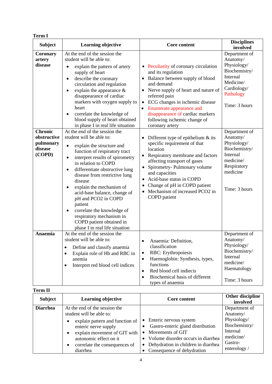| <b>Subject</b>                                                                                          | <b>Learning objective</b>                                                                                                                                                                                                                                                                                                                                                                                                                                                                                                                                                                                                                                                                                                                                                                                                                                                                                        | Core content                                                                                                                                                                                                                                                                                                                                                                                                                                                                                                                                                                                                                                                                 | <b>Disciplines</b><br>involved                                                                                                                                                                                                                                    |
|---------------------------------------------------------------------------------------------------------|------------------------------------------------------------------------------------------------------------------------------------------------------------------------------------------------------------------------------------------------------------------------------------------------------------------------------------------------------------------------------------------------------------------------------------------------------------------------------------------------------------------------------------------------------------------------------------------------------------------------------------------------------------------------------------------------------------------------------------------------------------------------------------------------------------------------------------------------------------------------------------------------------------------|------------------------------------------------------------------------------------------------------------------------------------------------------------------------------------------------------------------------------------------------------------------------------------------------------------------------------------------------------------------------------------------------------------------------------------------------------------------------------------------------------------------------------------------------------------------------------------------------------------------------------------------------------------------------------|-------------------------------------------------------------------------------------------------------------------------------------------------------------------------------------------------------------------------------------------------------------------|
| <b>Coronary</b><br>artery<br>disease<br><b>Chronic</b><br>obstructive<br>pulmonary<br>disease<br>(COPD) | At the end of the session the<br>student will be able to:<br>explain the pattern of artery<br>supply of heart<br>describe the coronary<br>$\bullet$<br>circulation and regulation<br>explain the appearance $\&$<br>$\bullet$<br>disappearance of cardiac<br>markers with oxygen supply to<br>heart<br>correlate the knowledge of<br>٠<br>blood supply of heart obtained<br>in phase I in real life situation<br>At the end of the session the<br>student will be able to:<br>explain the structure and<br>$\bullet$<br>function of respiratory tract<br>interpret results of spirometry<br>$\bullet$<br>in relation to COPD<br>differentiate obstructive lung<br>٠<br>disease from restrictive lung<br>disease<br>explain the mechanism of<br>acid-base balance, change of<br>pH and PCO2 in COPD<br>patient<br>correlate the knowledge of<br>$\bullet$<br>respiratory mechanism in<br>COPD patient obtained in | • Peculiarity of coronary circulation<br>and its regulation<br>Balance between supply of blood<br>and demand<br>Nerve supply of heart and nature of<br>$\bullet$<br>referred pain<br>ECG changes in ischemic disease<br>$\bullet$<br>Enumerate appearance and<br>disappearance of cardiac markers<br>following ischemic change of<br>coronary artery<br>Different type of epithelium $\&$ its<br>specific requirement of that<br>location<br>Respiratory membrane and factors<br>affecting transport of gases<br>Spirometry-Pulmonary volume<br>and capacities<br>Acid-base status in COPD<br>Change of pH in COPD patient<br>Mechanism of increased PCO2 in<br>COPD patient | Department of<br>Anatomy/<br>Physiology/<br>Biochemistry/<br>Internal<br>Medicine/<br>Cardiology/<br>Pathology<br>Time: 3 hours<br>Department of<br>Anatomy/<br>Physiology/<br>Biochemistry/<br>Internal<br>medicine/<br>Respiratory<br>medicine<br>Time: 3 hours |
| <b>Anaemia</b>                                                                                          | phase I in real life situation<br>At the end of the session the<br>student will be able to:<br>Define and classify anaemia<br>٠<br>Explain role of Hb and RBC in<br>$\bullet$<br>anemia<br>Interpret red blood cell indices<br>$\bullet$                                                                                                                                                                                                                                                                                                                                                                                                                                                                                                                                                                                                                                                                         | Anaemia: Definition,<br>classification<br>RBC: Erythropoiesis<br>$\bullet$<br>Haemoglobin: Synthesis, types,<br>$\bullet$<br>functions<br>Red blood cell indiecis<br>$\bullet$<br>Biochemical basis of different<br>$\bullet$<br>types of anaemia                                                                                                                                                                                                                                                                                                                                                                                                                            | Department of<br>Anatomy/<br>Physiology/<br>Biochemistry/<br>Internal<br>medicine/<br>Haematology<br>Time: 3 hours                                                                                                                                                |

| erm |  |
|-----|--|
|     |  |

| тени п          |                                                                                                                                                                                                       |                                                                                                                                                                                                                           |                                                                                 |
|-----------------|-------------------------------------------------------------------------------------------------------------------------------------------------------------------------------------------------------|---------------------------------------------------------------------------------------------------------------------------------------------------------------------------------------------------------------------------|---------------------------------------------------------------------------------|
| <b>Subject</b>  | <b>Learning objective</b>                                                                                                                                                                             | <b>Core content</b>                                                                                                                                                                                                       | Other discipline<br>involved                                                    |
| <b>Diarrhea</b> | At the end of the session the<br>student will be able to:                                                                                                                                             |                                                                                                                                                                                                                           | Department of<br>Anatomy/                                                       |
|                 | explain pattern and function of<br>$\bullet$<br>enteric nerve supply<br>explain movement of GIT with<br>$\bullet$<br>autonomic effect on it<br>correlate the consequences of<br>$\bullet$<br>diarrhea | Enteric nervous system<br>Gastro-enteric gland distribution<br>Movements of GIT<br>$\bullet$<br>Volume disorder occurs in diarrhea<br>$\bullet$<br>Dehydration in children in diarrhea<br>٠<br>Consequence of dehydration | Physiology/<br>Biochemistry/<br>Internal<br>medicine/<br>Gastro-<br>enterology/ |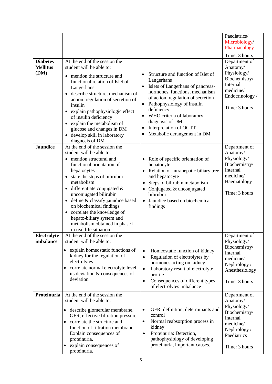| <b>Diabetes</b><br><b>Mellitus</b><br>(DM) | At the end of the session the<br>student will be able to:<br>• mention the structure and<br>functional relation of Islet of<br>Langerhans<br>• describe structure, mechanism of<br>action, regulation of secretion of<br>insulin                                                                                                                                                                                                                           | Structure and function of Islet of<br>$\bullet$<br>Langerhans<br>Islets of Langerhans of pancreas-<br>hormones, functions, mechanism<br>of action, regulation of secretion<br>Pathophysiology of insulin<br>$\bullet$                                           | Paediatrics/<br>Microbiology/<br>Pharmacology<br>Time: 3 hours<br>Department of<br>Anatomy/<br>Physiology/<br>Biochemistry/<br>Internal<br>medicine/<br>Endocrinology /<br>Time: 3 hours |
|--------------------------------------------|------------------------------------------------------------------------------------------------------------------------------------------------------------------------------------------------------------------------------------------------------------------------------------------------------------------------------------------------------------------------------------------------------------------------------------------------------------|-----------------------------------------------------------------------------------------------------------------------------------------------------------------------------------------------------------------------------------------------------------------|------------------------------------------------------------------------------------------------------------------------------------------------------------------------------------------|
|                                            | explain pathophysiologic effect<br>$\bullet$<br>of insulin deficiency<br>explain the metabolism of<br>$\bullet$<br>glucose and changes in DM<br>develop skill in laboratory<br>diagnosis of DM                                                                                                                                                                                                                                                             | deficiency<br>WHO criteria of laboratory<br>diagnosis of DM<br>Interpretation of OGTT<br>Metabolic derangement in DM                                                                                                                                            |                                                                                                                                                                                          |
| <b>Jaundice</b>                            | At the end of the session the<br>student will be able to:<br>mention structural and<br>functional orientation of<br>hepatocytes<br>state the steps of bilirubin<br>metabolism<br>differentiate conjugated $\&$<br>$\bullet$<br>unconjugated bilirubin<br>• define & classify jaundice based<br>on biochemical findings<br>correlate the knowledge of<br>$\bullet$<br>hepato-biliary system and<br>metabolism obtained in phase I<br>in real life situation | Role of specific orientation of<br>hepatocyte<br>Relation of intrahepatic biliary tree<br>and hepatocyte<br>Steps of bilirubin metabolism<br>Conjugated $&$ unconjugated<br>$\bullet$<br>bilirubin<br>Jaundice based on biochemical<br>$\bullet$<br>findings    | Department of<br>Anatomy/<br>Physiology/<br>Biochemistry/<br>Internal<br>medicine/<br>Haematology<br>Time: 3 hours                                                                       |
| Electrolyte<br>imbalance                   | At the end of the session the<br>student will be able to:<br>explain homeostatic functions of<br>$\bullet$<br>kidney for the regulation of<br>electrolytes<br>correlate normal electrolyte level,<br>٠<br>its deviation & consequences of<br>deviation                                                                                                                                                                                                     | Homeostatic function of kidney<br>$\bullet$<br>Regulation of electrolytes by<br>$\bullet$<br>hormones acting on kidney<br>Laboratory result of electrolyte<br>$\bullet$<br>profile<br>Consequences of different types<br>$\bullet$<br>of electrolytes imbalance | Department of<br>Physiology/<br>Biochemistry/<br>Internal<br>medicine/<br>Nephrology /<br>Anesthesiology<br>Time: 3 hours                                                                |
| Proteinuria                                | At the end of the session the<br>student will be able to:<br>• describe glomerular membrane,<br>GFR, effective filtration pressure<br>correlate the structure and<br>$\bullet$<br>function of filtration membrane<br>Explain consequences of<br>proteinuria.<br>explain consequences of<br>$\bullet$<br>proteinuria.                                                                                                                                       | GFR: definition, determinants and<br>control<br>Normal reabsorption process in<br>$\bullet$<br>kidney<br>Proteinuria: Detection,<br>$\bullet$<br>pathophysiology of developing<br>proteinuria, important causes.                                                | Department of<br>Anatomy/<br>Physiology/<br>Biochemistry/<br>Internal<br>medicine/<br>Nephrology /<br>Paediatrics<br>Time: 3 hours                                                       |